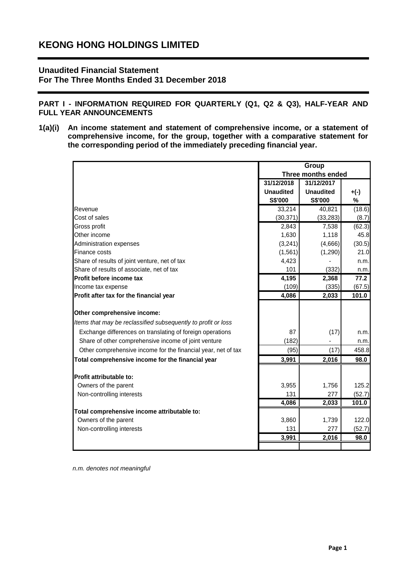# **Unaudited Financial Statement For The Three Months Ended 31 December 2018**

**PART I - INFORMATION REQUIRED FOR QUARTERLY (Q1, Q2 & Q3), HALF-YEAR AND FULL YEAR ANNOUNCEMENTS**

**1(a)(i) An income statement and statement of comprehensive income, or a statement of comprehensive income, for the group, together with a comparative statement for the corresponding period of the immediately preceding financial year.**

|                                                               | Group              |                  |        |  |
|---------------------------------------------------------------|--------------------|------------------|--------|--|
|                                                               | Three months ended |                  |        |  |
|                                                               | 31/12/2018         | 31/12/2017       |        |  |
|                                                               | <b>Unaudited</b>   | <b>Unaudited</b> | $+(-)$ |  |
|                                                               | S\$'000            | S\$'000          | %      |  |
| Revenue                                                       | 33,214             | 40,821           | (18.6) |  |
| Cost of sales                                                 | (30, 371)          | (33, 283)        | (8.7)  |  |
| Gross profit                                                  | 2,843              | 7,538            | (62.3) |  |
| Other income                                                  | 1,630              | 1,118            | 45.8   |  |
| Administration expenses                                       | (3,241)            | (4,666)          | (30.5) |  |
| Finance costs                                                 | (1, 561)           | (1, 290)         | 21.0   |  |
| Share of results of joint venture, net of tax                 | 4,423              |                  | n.m.   |  |
| Share of results of associate, net of tax                     | 101                | (332)            | n.m.   |  |
| Profit before income tax                                      | 4,195              | 2,368            | 77.2   |  |
| Income tax expense                                            | (109)              | (335)            | (67.5) |  |
| Profit after tax for the financial year                       | 4,086              | 2,033            | 101.0  |  |
|                                                               |                    |                  |        |  |
| Other comprehensive income:                                   |                    |                  |        |  |
| Items that may be reclassified subsequently to profit or loss |                    |                  |        |  |
| Exchange differences on translating of foreign operations     | 87                 | (17)             | n.m.   |  |
| Share of other comprehensive income of joint venture          | (182)              |                  | n.m.   |  |
| Other comprehensive income for the financial year, net of tax | (95)               | (17)             | 458.8  |  |
| Total comprehensive income for the financial year             | 3,991              | 2,016            | 98.0   |  |
|                                                               |                    |                  |        |  |
| Profit attributable to:                                       |                    |                  |        |  |
| Owners of the parent                                          | 3,955              | 1,756            | 125.2  |  |
| Non-controlling interests                                     | 131                | 277              | (52.7) |  |
|                                                               | 4,086              | 2,033            | 101.0  |  |
| Total comprehensive income attributable to:                   |                    |                  |        |  |
| Owners of the parent                                          | 3,860              | 1,739            | 122.0  |  |
| Non-controlling interests                                     | 131                | 277              | (52.7) |  |
|                                                               | 3,991              | 2,016            | 98.0   |  |
|                                                               |                    |                  |        |  |

*n.m. denotes not meaningful*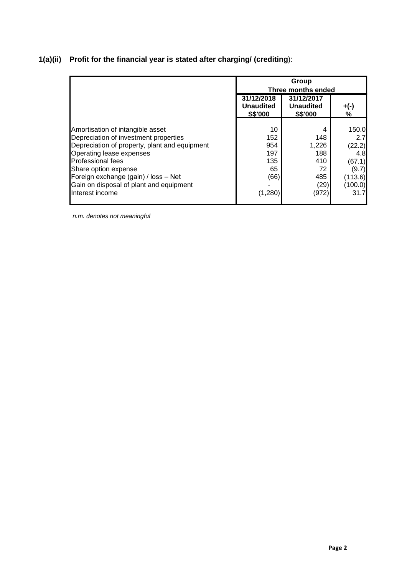# **1(a)(ii) Profit for the financial year is stated after charging/ (crediting**):

|                                                                                                                                                                                                            |                                                  | Group<br>Three months ended                      |                                         |  |  |  |
|------------------------------------------------------------------------------------------------------------------------------------------------------------------------------------------------------------|--------------------------------------------------|--------------------------------------------------|-----------------------------------------|--|--|--|
|                                                                                                                                                                                                            | 31/12/2018<br><b>Unaudited</b><br><b>S\$'000</b> | 31/12/2017<br><b>Unaudited</b><br><b>S\$'000</b> | $+(-)$<br>%                             |  |  |  |
| Amortisation of intangible asset<br>Depreciation of investment properties<br>Depreciation of property, plant and equipment<br>Operating lease expenses<br><b>Professional fees</b><br>Share option expense | 10<br>152<br>954<br>197<br>135<br>65             | 4<br>148<br>1,226<br>188<br>410<br>72            | 150.0<br>2.7<br>(22.2)<br>4.8<br>(67.1) |  |  |  |
| Foreign exchange (gain) / loss - Net<br>Gain on disposal of plant and equipment<br>Interest income                                                                                                         | (66)<br>(1, 280)                                 | 485<br>(29)<br>(972)                             | (9.7)<br>(113.6)<br>(100.0)<br>31.7     |  |  |  |

*n.m. denotes not meaningful*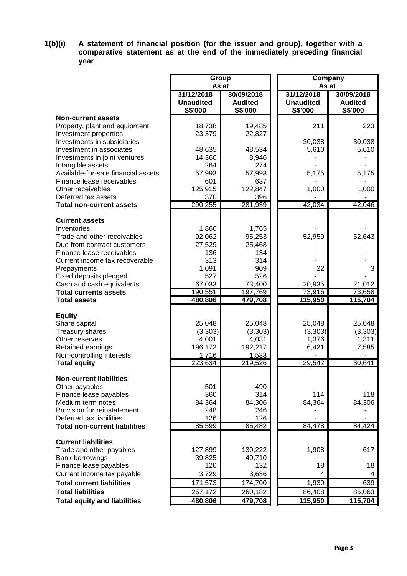## **1(b)(i) A statement of financial position (for the issuer and group), together with a comparative statement as at the end of the immediately preceding financial year**

|                                                             | Group<br>As at                            |                                                | As at                                     | Company                                 |
|-------------------------------------------------------------|-------------------------------------------|------------------------------------------------|-------------------------------------------|-----------------------------------------|
|                                                             | 31/12/2018<br><b>Unaudited</b><br>S\$'000 | 30/09/2018<br><b>Audited</b><br><b>S\$'000</b> | 31/12/2018<br><b>Unaudited</b><br>S\$'000 | 30/09/2018<br><b>Audited</b><br>S\$'000 |
| <b>Non-current assets</b>                                   |                                           |                                                |                                           |                                         |
| Property, plant and equipment                               | 18,738                                    | 19,485                                         | 211                                       | 223                                     |
| Investment properties                                       | 23,379                                    | 22,827                                         |                                           |                                         |
| Investments in subsidiaries                                 |                                           |                                                | 30,038                                    | 30,038                                  |
| Investment in associates                                    | 48,635                                    | 48,534                                         | 5,610                                     | 5,610                                   |
| Investments in joint ventures                               | 14,360                                    | 8,946                                          |                                           |                                         |
| Intangible assets                                           | 264                                       | 274                                            |                                           |                                         |
| Available-for-sale financial assets                         | 57,993                                    | 57,993                                         | 5,175                                     | 5,175                                   |
| Finance lease receivables<br>Other receivables              | 601<br>125,915                            | 637<br>122,847                                 | 1,000                                     | 1,000                                   |
| Deferred tax assets                                         | 370                                       | 396                                            |                                           |                                         |
| <b>Total non-current assets</b>                             | 290,255                                   | 281,939                                        | 42,034                                    | 42,046                                  |
|                                                             |                                           |                                                |                                           |                                         |
| <b>Current assets</b>                                       |                                           |                                                |                                           |                                         |
| Inventories                                                 | 1,860                                     | 1,765                                          |                                           |                                         |
| Trade and other receivables                                 | 92,062                                    | 95,253                                         | 52,959                                    | 52,643                                  |
| Due from contract customers                                 | 27,529                                    | 25,468                                         |                                           |                                         |
| Finance lease receivables<br>Current income tax recoverable | 136<br>313                                | 134<br>314                                     |                                           |                                         |
| Prepayments                                                 | 1,091                                     | 909                                            | 22                                        | 3                                       |
| Fixed deposits pledged                                      | 527                                       | 526                                            |                                           |                                         |
| Cash and cash equivalents                                   | 67,033                                    | 73,400                                         | 20,935                                    | 21,012                                  |
| <b>Total currents assets</b>                                | 190,551                                   | 197,769                                        | 73,916                                    | 73,658                                  |
| <b>Total assets</b>                                         | 480,806                                   | 479,708                                        | 115,950                                   | 115,704                                 |
|                                                             |                                           |                                                |                                           |                                         |
| <b>Equity</b><br>Share capital                              | 25,048                                    | 25,048                                         | 25,048                                    | 25,048                                  |
| Treasury shares                                             | (3,303)                                   | (3,303)                                        | (3,303)                                   | (3,303)                                 |
| Other reserves                                              | 4,001                                     | 4,031                                          | 1,376                                     | 1,311                                   |
| Retained earnings                                           | 196,172                                   | 192,217                                        | 6,421                                     | 7,585                                   |
| Non-controlling interests                                   | 1,716                                     | 1,533                                          |                                           |                                         |
| <b>Total equity</b>                                         | 223,634                                   | 219,526                                        | 29,542                                    | 30,641                                  |
| <b>Non-current liabilities</b>                              |                                           |                                                |                                           |                                         |
| Other payables                                              | 501                                       | 490                                            |                                           |                                         |
| Finance lease payables                                      | 360                                       | 314                                            | 114                                       | 118                                     |
| Medium term notes                                           | 84,364                                    | 84,306                                         | 84,364                                    | 84,306                                  |
| Provision for reinstatement                                 | 248                                       | 246                                            |                                           |                                         |
| Deferred tax liabilities                                    | 126                                       | 126                                            |                                           |                                         |
| <b>Total non-current liabilities</b>                        | 85,599                                    | 85,482                                         | 84,478                                    | 84,424                                  |
| <b>Current liabilities</b>                                  |                                           |                                                |                                           |                                         |
| Trade and other payables                                    | 127,899                                   | 130,222                                        | 1,908                                     | 617                                     |
| Bank borrowings                                             | 39,825                                    | 40,710                                         |                                           |                                         |
| Finance lease payables                                      | 120                                       | 132                                            | 18                                        | 18                                      |
| Current income tax payable                                  | 3,729                                     | 3,636                                          | 4                                         | 4                                       |
| <b>Total current liabilities</b>                            | 171,573                                   | 174,700                                        | 1,930                                     | 639                                     |
| <b>Total liabilities</b>                                    | 257,172                                   | 260,182                                        | 86,408                                    | 85,063                                  |
| <b>Total equity and liabilities</b>                         | 480,806                                   | 479,708                                        | 115,950                                   | 115,704                                 |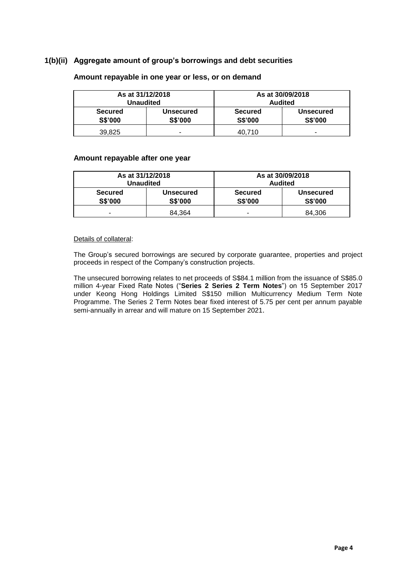## **1(b)(ii) Aggregate amount of group's borrowings and debt securities**

|                                  | As at 31/12/2018<br><b>Unaudited</b> | As at 30/09/2018<br><b>Audited</b> |                                    |  |
|----------------------------------|--------------------------------------|------------------------------------|------------------------------------|--|
| <b>Secured</b><br><b>S\$'000</b> | <b>Unsecured</b><br>S\$'000          | <b>Secured</b><br><b>S\$'000</b>   | <b>Unsecured</b><br><b>S\$'000</b> |  |
| 39,825                           | -                                    | 40.710                             | -                                  |  |

#### **Amount repayable in one year or less, or on demand**

#### **Amount repayable after one year**

| As at 31/12/2018<br><b>Unaudited</b> |                             | As at 30/09/2018<br><b>Audited</b> |                                    |  |
|--------------------------------------|-----------------------------|------------------------------------|------------------------------------|--|
| <b>Secured</b><br><b>S\$'000</b>     | Unsecured<br><b>S\$'000</b> | <b>Secured</b><br>S\$'000          | <b>Unsecured</b><br><b>S\$'000</b> |  |
| -                                    | 84.364                      | -                                  | 84.306                             |  |

#### Details of collateral:

The Group's secured borrowings are secured by corporate guarantee, properties and project proceeds in respect of the Company's construction projects.

The unsecured borrowing relates to net proceeds of S\$84.1 million from the issuance of S\$85.0 million 4-year Fixed Rate Notes ("**Series 2 Series 2 Term Notes**") on 15 September 2017 under Keong Hong Holdings Limited S\$150 million Multicurrency Medium Term Note Programme. The Series 2 Term Notes bear fixed interest of 5.75 per cent per annum payable semi-annually in arrear and will mature on 15 September 2021.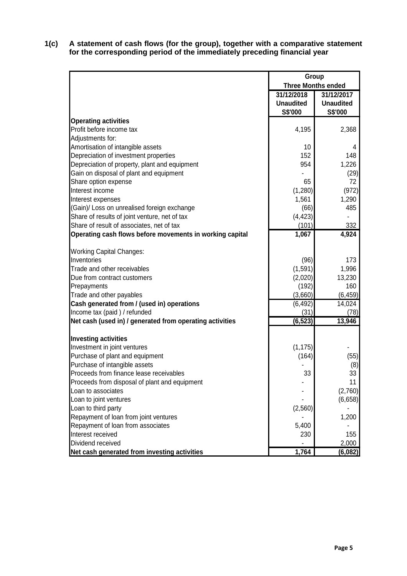**1(c) A statement of cash flows (for the group), together with a comparative statement for the corresponding period of the immediately preceding financial year**

|                                                          | Group            |                           |  |
|----------------------------------------------------------|------------------|---------------------------|--|
|                                                          |                  | <b>Three Months ended</b> |  |
|                                                          | 31/12/2018       | 31/12/2017                |  |
|                                                          | <b>Unaudited</b> | <b>Unaudited</b>          |  |
|                                                          | S\$'000          | S\$'000                   |  |
| <b>Operating activities</b>                              |                  |                           |  |
| Profit before income tax                                 | 4,195            | 2,368                     |  |
| Adjustments for:                                         |                  |                           |  |
| Amortisation of intangible assets                        | 10               | 4                         |  |
| Depreciation of investment properties                    | 152              | 148                       |  |
| Depreciation of property, plant and equipment            | 954              | 1,226                     |  |
| Gain on disposal of plant and equipment                  |                  | (29)                      |  |
| Share option expense                                     | 65               | 72                        |  |
| Interest income                                          | (1,280)          | (972)                     |  |
| Interest expenses                                        | 1,561            | 1,290                     |  |
| (Gain)/ Loss on unrealised foreign exchange              | (66)             | 485                       |  |
| Share of results of joint venture, net of tax            | (4, 423)         |                           |  |
| Share of result of associates, net of tax                | (101)            | 332                       |  |
| Operating cash flows before movements in working capital | 1,067            | 4,924                     |  |
| <b>Working Capital Changes:</b>                          |                  |                           |  |
| Inventories                                              | (96)             | 173                       |  |
| Trade and other receivables                              | (1, 591)         | 1,996                     |  |
| Due from contract customers                              | (2,020)          | 13,230                    |  |
| Prepayments                                              | (192)            | 160                       |  |
| Trade and other payables                                 | (3,660)          | (6, 459)                  |  |
| Cash generated from / (used in) operations               | (6, 492)         | 14,024                    |  |
| Income tax (paid) / refunded                             | (31)             | (78)                      |  |
| Net cash (used in) / generated from operating activities | (6, 523)         | 13,946                    |  |
| <b>Investing activities</b>                              |                  |                           |  |
| Investment in joint ventures                             | (1, 175)         |                           |  |
| Purchase of plant and equipment                          | (164)            | (55)                      |  |
| Purchase of intangible assets                            |                  | (8)                       |  |
| Proceeds from finance lease receivables                  | 33               | 33                        |  |
| Proceeds from disposal of plant and equipment            |                  | 11                        |  |
| Loan to associates                                       |                  | (2,760)                   |  |
| Loan to joint ventures                                   |                  | (6,658)                   |  |
| Loan to third party                                      | (2, 560)         |                           |  |
| Repayment of loan from joint ventures                    |                  | 1,200                     |  |
| Repayment of loan from associates                        | 5,400            |                           |  |
| Interest received                                        | 230              | 155                       |  |
| Dividend received                                        |                  | 2,000                     |  |
| Net cash generated from investing activities             | 1,764            | (6,082)                   |  |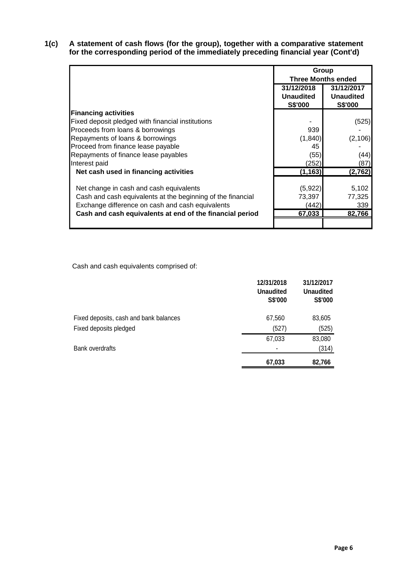**1(c) A statement of cash flows (for the group), together with a comparative statement for the corresponding period of the immediately preceding financial year (Cont'd)**

|                                                             | Group                     |                  |  |  |
|-------------------------------------------------------------|---------------------------|------------------|--|--|
|                                                             | <b>Three Months ended</b> |                  |  |  |
|                                                             | 31/12/2018<br>31/12/2017  |                  |  |  |
|                                                             | <b>Unaudited</b>          | <b>Unaudited</b> |  |  |
|                                                             | S\$'000                   | S\$'000          |  |  |
| <b>Financing activities</b>                                 |                           |                  |  |  |
| Fixed deposit pledged with financial institutions           |                           | (525)            |  |  |
| Proceeds from loans & borrowings                            | 939                       |                  |  |  |
| Repayments of loans & borrowings                            | (1, 840)                  | (2, 106)         |  |  |
| Proceed from finance lease payable                          | 45                        |                  |  |  |
| Repayments of finance lease payables                        | (55)                      | (44)             |  |  |
| Interest paid                                               | (252)                     | (87)             |  |  |
| Net cash used in financing activities                       | (1, 163)                  | (2,762)          |  |  |
|                                                             |                           |                  |  |  |
| Net change in cash and cash equivalents                     | (5,922)                   | 5,102            |  |  |
| Cash and cash equivalents at the beginning of the financial | 73,397                    | 77,325           |  |  |
| Exchange difference on cash and cash equivalents            | (442)                     | 339              |  |  |
| Cash and cash equivalents at end of the financial period    | 67,033                    | 82,766           |  |  |
|                                                             |                           |                  |  |  |

Cash and cash equivalents comprised of:

|                                        | 12/31/2018<br><b>Unaudited</b><br>S\$'000 | 31/12/2017<br><b>Unaudited</b><br>S\$'000 |
|----------------------------------------|-------------------------------------------|-------------------------------------------|
| Fixed deposits, cash and bank balances | 67,560                                    | 83,605                                    |
| Fixed deposits pledged                 | (527)                                     | (525)                                     |
|                                        | 67,033                                    | 83,080                                    |
| <b>Bank overdrafts</b>                 |                                           | (314)                                     |
|                                        | 67,033                                    | 82,766                                    |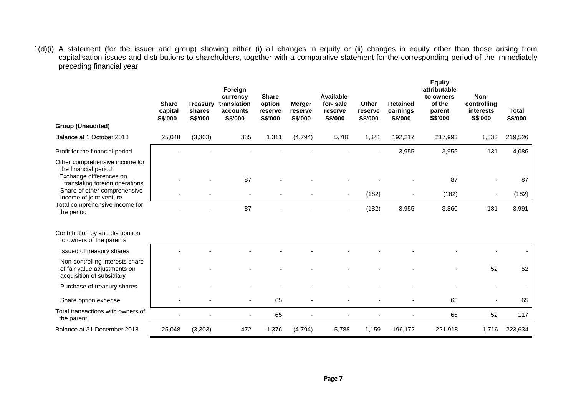1(d)(i) A statement (for the issuer and group) showing either (i) all changes in equity or (ii) changes in equity other than those arising from capitalisation issues and distributions to shareholders, together with a comparative statement for the corresponding period of the immediately preceding financial year

|                                                                                                                      | <b>Share</b><br>capital<br>S\$'000 | <b>Treasury</b><br>shares<br>S\$'000 | Foreign<br>currency<br>translation<br>accounts<br>S\$'000 | <b>Share</b><br>option<br>reserve<br>S\$'000 | <b>Merger</b><br>reserve<br>S\$'000 | Available-<br>for-sale<br>reserve<br>S\$'000 | Other<br>reserve<br>S\$'000 | <b>Retained</b><br>earnings<br>S\$'000 | <b>Equity</b><br>attributable<br>to owners<br>of the<br>parent<br>S\$'000 | Non-<br>controlling<br>interests<br>S\$'000 | <b>Total</b><br>S\$'000 |
|----------------------------------------------------------------------------------------------------------------------|------------------------------------|--------------------------------------|-----------------------------------------------------------|----------------------------------------------|-------------------------------------|----------------------------------------------|-----------------------------|----------------------------------------|---------------------------------------------------------------------------|---------------------------------------------|-------------------------|
| <b>Group (Unaudited)</b>                                                                                             |                                    |                                      |                                                           |                                              |                                     |                                              |                             |                                        |                                                                           |                                             |                         |
| Balance at 1 October 2018                                                                                            | 25,048                             | (3, 303)                             | 385                                                       | 1,311                                        | (4, 794)                            | 5,788                                        | 1,341                       | 192,217                                | 217,993                                                                   | 1,533                                       | 219,526                 |
| Profit for the financial period                                                                                      |                                    |                                      |                                                           |                                              |                                     |                                              |                             | 3,955                                  | 3,955                                                                     | 131                                         | 4,086                   |
| Other comprehensive income for<br>the financial period:<br>Exchange differences on<br>translating foreign operations |                                    |                                      | 87                                                        |                                              |                                     |                                              |                             |                                        | 87                                                                        |                                             | 87                      |
| Share of other comprehensive<br>income of joint venture                                                              |                                    |                                      |                                                           |                                              |                                     |                                              | (182)                       |                                        | (182)                                                                     |                                             | (182)                   |
| Total comprehensive income for<br>the period                                                                         |                                    |                                      | 87                                                        |                                              |                                     |                                              | (182)                       | 3,955                                  | 3,860                                                                     | 131                                         | 3,991                   |
| Contribution by and distribution<br>to owners of the parents:                                                        |                                    |                                      |                                                           |                                              |                                     |                                              |                             |                                        |                                                                           |                                             |                         |
| Issued of treasury shares                                                                                            |                                    |                                      |                                                           |                                              |                                     |                                              |                             |                                        |                                                                           |                                             |                         |
| Non-controlling interests share<br>of fair value adjustments on<br>acquisition of subsidiary                         |                                    |                                      |                                                           |                                              |                                     |                                              |                             |                                        |                                                                           | 52                                          | 52                      |
| Purchase of treasury shares                                                                                          |                                    |                                      |                                                           |                                              |                                     |                                              |                             |                                        |                                                                           |                                             |                         |
| Share option expense                                                                                                 |                                    |                                      |                                                           | 65                                           |                                     |                                              |                             |                                        | 65                                                                        |                                             | 65                      |
| Total transactions with owners of<br>the parent                                                                      |                                    |                                      |                                                           | 65                                           |                                     |                                              |                             |                                        | 65                                                                        | 52                                          | 117                     |
| Balance at 31 December 2018                                                                                          | 25,048                             | (3, 303)                             | 472                                                       | 1,376                                        | (4, 794)                            | 5,788                                        | 1,159                       | 196,172                                | 221,918                                                                   | 1,716                                       | 223,634                 |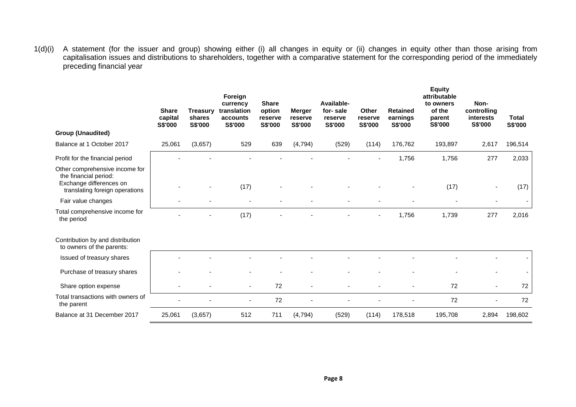1(d)(i) A statement (for the issuer and group) showing either (i) all changes in equity or (ii) changes in equity other than those arising from capitalisation issues and distributions to shareholders, together with a comparative statement for the corresponding period of the immediately preceding financial year

| <b>Group (Unaudited)</b>                                                                                             | <b>Share</b><br>capital<br>S\$'000 | <b>Treasury</b><br>shares<br>S\$'000 | Foreign<br>currency<br>translation<br>accounts<br>S\$'000 | <b>Share</b><br>option<br>reserve<br><b>S\$'000</b> | <b>Merger</b><br>reserve<br>S\$'000 | Available-<br>for-sale<br>reserve<br>S\$'000 | Other<br>reserve<br>S\$'000 | <b>Retained</b><br>earnings<br>S\$'000 | <b>Equity</b><br>attributable<br>to owners<br>of the<br>parent<br>S\$'000 | Non-<br>controlling<br>interests<br>S\$'000 | <b>Total</b><br>S\$'000 |
|----------------------------------------------------------------------------------------------------------------------|------------------------------------|--------------------------------------|-----------------------------------------------------------|-----------------------------------------------------|-------------------------------------|----------------------------------------------|-----------------------------|----------------------------------------|---------------------------------------------------------------------------|---------------------------------------------|-------------------------|
|                                                                                                                      |                                    |                                      |                                                           |                                                     |                                     |                                              |                             |                                        |                                                                           |                                             |                         |
| Balance at 1 October 2017                                                                                            | 25,061                             | (3,657)                              | 529                                                       | 639                                                 | (4, 794)                            | (529)                                        | (114)                       | 176,762                                | 193,897                                                                   | 2,617                                       | 196,514                 |
| Profit for the financial period                                                                                      |                                    |                                      |                                                           |                                                     |                                     |                                              |                             | 1,756                                  | 1,756                                                                     | 277                                         | 2,033                   |
| Other comprehensive income for<br>the financial period:<br>Exchange differences on<br>translating foreign operations |                                    |                                      | (17)                                                      |                                                     |                                     |                                              |                             |                                        | (17)                                                                      |                                             | (17)                    |
| Fair value changes                                                                                                   |                                    |                                      |                                                           |                                                     |                                     |                                              |                             |                                        |                                                                           |                                             |                         |
| Total comprehensive income for<br>the period                                                                         |                                    |                                      | (17)                                                      |                                                     |                                     |                                              |                             | 1,756                                  | 1,739                                                                     | 277                                         | 2,016                   |
| Contribution by and distribution<br>to owners of the parents:                                                        |                                    |                                      |                                                           |                                                     |                                     |                                              |                             |                                        |                                                                           |                                             |                         |
| Issued of treasury shares                                                                                            |                                    |                                      |                                                           |                                                     |                                     |                                              |                             |                                        |                                                                           |                                             |                         |
| Purchase of treasury shares                                                                                          |                                    |                                      |                                                           |                                                     |                                     |                                              |                             |                                        |                                                                           |                                             |                         |
| Share option expense                                                                                                 |                                    |                                      |                                                           | 72                                                  |                                     |                                              |                             |                                        | 72                                                                        |                                             | 72                      |
| Total transactions with owners of<br>the parent                                                                      |                                    |                                      |                                                           | 72                                                  |                                     |                                              |                             |                                        | 72                                                                        |                                             | 72                      |
| Balance at 31 December 2017                                                                                          | 25,061                             | (3,657)                              | 512                                                       | 711                                                 | (4, 794)                            | (529)                                        | (114)                       | 178,518                                | 195,708                                                                   | 2,894                                       | 198,602                 |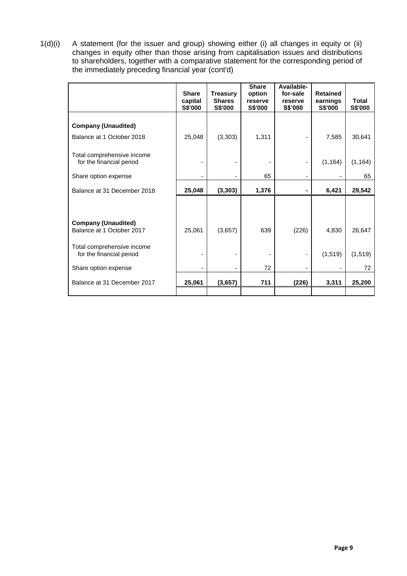1(d)(i) A statement (for the issuer and group) showing either (i) all changes in equity or (ii) changes in equity other than those arising from capitalisation issues and distributions to shareholders, together with a comparative statement for the corresponding period of the immediately preceding financial year (cont'd)

|                                                         | <b>Share</b><br>capital<br><b>S\$'000</b> | <b>Treasury</b><br><b>Shares</b><br>S\$'000 | <b>Share</b><br>option<br>reserve<br>S\$'000 | Available-<br>for-sale<br>reserve<br><b>S\$'000</b> | <b>Retained</b><br>earnings<br><b>S\$'000</b> | <b>Total</b><br>S\$'000 |
|---------------------------------------------------------|-------------------------------------------|---------------------------------------------|----------------------------------------------|-----------------------------------------------------|-----------------------------------------------|-------------------------|
| <b>Company (Unaudited)</b>                              |                                           |                                             |                                              |                                                     |                                               |                         |
| Balance at 1 October 2018                               | 25,048                                    | (3,303)                                     | 1,311                                        |                                                     | 7,585                                         | 30,641                  |
| Total comprehensive income<br>for the financial period  |                                           |                                             |                                              |                                                     | (1, 164)                                      | (1, 164)                |
| Share option expense                                    |                                           |                                             | 65                                           |                                                     |                                               | 65                      |
| Balance at 31 December 2018                             | 25,048                                    | (3, 303)                                    | 1,376                                        | ۰                                                   | 6,421                                         | 29,542                  |
|                                                         |                                           |                                             |                                              |                                                     |                                               |                         |
| <b>Company (Unaudited)</b><br>Balance at 1 October 2017 | 25,061                                    | (3,657)                                     | 639                                          | (226)                                               | 4,830                                         | 26,647                  |
| Total comprehensive income<br>for the financial period  |                                           |                                             |                                              |                                                     | (1, 519)                                      | (1, 519)                |
| Share option expense                                    |                                           |                                             | 72                                           |                                                     |                                               | 72                      |
| Balance at 31 December 2017                             | 25,061                                    | (3,657)                                     | 711                                          | (226)                                               | 3,311                                         | 25,200                  |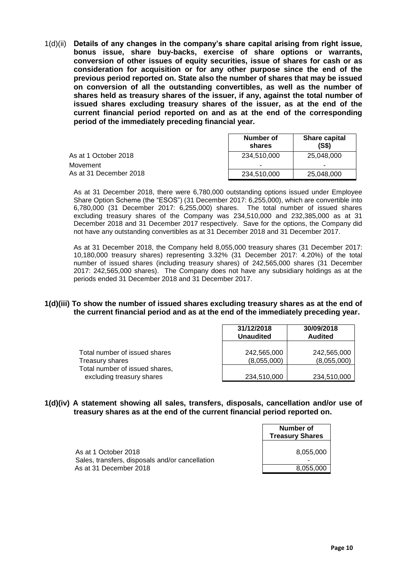1(d)(ii) **Details of any changes in the company's share capital arising from right issue, bonus issue, share buy-backs, exercise of share options or warrants, conversion of other issues of equity securities, issue of shares for cash or as consideration for acquisition or for any other purpose since the end of the previous period reported on. State also the number of shares that may be issued on conversion of all the outstanding convertibles, as well as the number of shares held as treasury shares of the issuer, if any, against the total number of issued shares excluding treasury shares of the issuer, as at the end of the current financial period reported on and as at the end of the corresponding period of the immediately preceding financial year.**

|                        | Number of<br>shares | <b>Share capital</b><br>(S\$) |
|------------------------|---------------------|-------------------------------|
| As at 1 October 2018   | 234.510.000         | 25.048.000                    |
| Movement               |                     |                               |
| As at 31 December 2018 | 234,510,000         | 25,048,000                    |

As at 31 December 2018, there were 6,780,000 outstanding options issued under Employee Share Option Scheme (the "ESOS") (31 December 2017: 6,255,000), which are convertible into 6,780,000 (31 December 2017: 6,255,000) shares. The total number of issued shares excluding treasury shares of the Company was 234,510,000 and 232,385,000 as at 31 December 2018 and 31 December 2017 respectively. Save for the options, the Company did not have any outstanding convertibles as at 31 December 2018 and 31 December 2017.

As at 31 December 2018, the Company held 8,055,000 treasury shares (31 December 2017: 10,180,000 treasury shares) representing 3.32% (31 December 2017: 4.20%) of the total number of issued shares (including treasury shares) of 242,565,000 shares (31 December 2017: 242,565,000 shares). The Company does not have any subsidiary holdings as at the periods ended 31 December 2018 and 31 December 2017.

#### **1(d)(iii) To show the number of issued shares excluding treasury shares as at the end of the current financial period and as at the end of the immediately preceding year.**

|                                                             | 31/12/2018<br><b>Unaudited</b> | 30/09/2018<br><b>Audited</b> |
|-------------------------------------------------------------|--------------------------------|------------------------------|
| Total number of issued shares<br>Treasury shares            | 242,565,000<br>(8,055,000)     | 242,565,000<br>(8,055,000)   |
| Total number of issued shares,<br>excluding treasury shares | 234,510,000                    | 234,510,000                  |

## **1(d)(iv) A statement showing all sales, transfers, disposals, cancellation and/or use of treasury shares as at the end of the current financial period reported on.**

|                                                                         | Number of<br><b>Treasury Shares</b> |
|-------------------------------------------------------------------------|-------------------------------------|
| As at 1 October 2018<br>Sales, transfers, disposals and/or cancellation | 8,055,000                           |
| As at 31 December 2018                                                  | 8.055.000                           |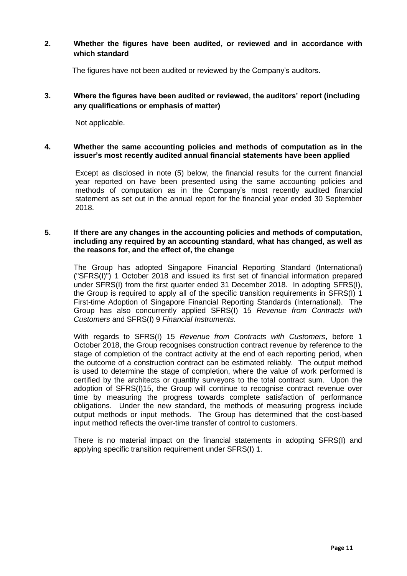# **2. Whether the figures have been audited, or reviewed and in accordance with which standard**

The figures have not been audited or reviewed by the Company's auditors.

# **3. Where the figures have been audited or reviewed, the auditors' report (including any qualifications or emphasis of matter)**

Not applicable.

## **4. Whether the same accounting policies and methods of computation as in the issuer's most recently audited annual financial statements have been applied**

Except as disclosed in note (5) below, the financial results for the current financial year reported on have been presented using the same accounting policies and methods of computation as in the Company's most recently audited financial statement as set out in the annual report for the financial year ended 30 September 2018.

#### **5. If there are any changes in the accounting policies and methods of computation, including any required by an accounting standard, what has changed, as well as the reasons for, and the effect of, the change**

The Group has adopted Singapore Financial Reporting Standard (International) ("SFRS(I)") 1 October 2018 and issued its first set of financial information prepared under SFRS(I) from the first quarter ended 31 December 2018. In adopting SFRS(I), the Group is required to apply all of the specific transition requirements in SFRS(I) 1 First-time Adoption of Singapore Financial Reporting Standards (International). The Group has also concurrently applied SFRS(I) 15 *Revenue from Contracts with Customers* and SFRS(I) 9 *Financial Instruments*.

With regards to SFRS(I) 15 *Revenue from Contracts with Customers*, before 1 October 2018, the Group recognises construction contract revenue by reference to the stage of completion of the contract activity at the end of each reporting period, when the outcome of a construction contract can be estimated reliably. The output method is used to determine the stage of completion, where the value of work performed is certified by the architects or quantity surveyors to the total contract sum. Upon the adoption of SFRS(I)15, the Group will continue to recognise contract revenue over time by measuring the progress towards complete satisfaction of performance obligations. Under the new standard, the methods of measuring progress include output methods or input methods. The Group has determined that the cost-based input method reflects the over-time transfer of control to customers.

There is no material impact on the financial statements in adopting SFRS(I) and applying specific transition requirement under SFRS(I) 1.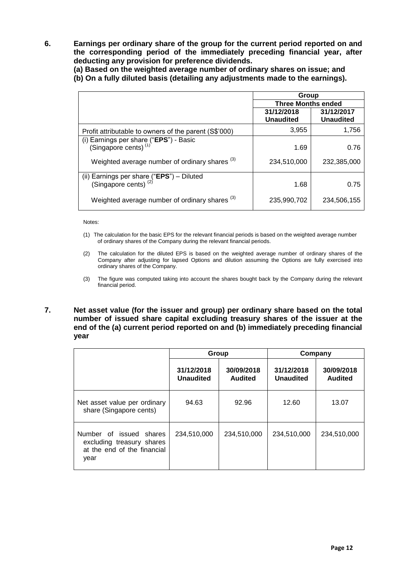**6. Earnings per ordinary share of the group for the current period reported on and the corresponding period of the immediately preceding financial year, after deducting any provision for preference dividends.**

**(a) Based on the weighted average number of ordinary shares on issue; and (b) On a fully diluted basis (detailing any adjustments made to the earnings).**

|                                                                                       | Group                     |                  |  |
|---------------------------------------------------------------------------------------|---------------------------|------------------|--|
|                                                                                       | <b>Three Months ended</b> |                  |  |
|                                                                                       | 31/12/2018                | 31/12/2017       |  |
|                                                                                       | <b>Unaudited</b>          | <b>Unaudited</b> |  |
| Profit attributable to owners of the parent (S\$'000)                                 | 3,955                     | 1,756            |  |
|                                                                                       |                           |                  |  |
| (i) Earnings per share $("EPS")$ - Basic (Singapore cents) <sup>(1)</sup>             | 1.69                      | 0.76             |  |
| Weighted average number of ordinary shares <sup>(3)</sup>                             | 234,510,000               | 232,385,000      |  |
| (ii) Earnings per share $(\overline{HPS})$ - Diluted (Singapore cents) <sup>(2)</sup> |                           |                  |  |
|                                                                                       | 1.68                      | 0.75             |  |
| Weighted average number of ordinary shares <sup>(3)</sup>                             | 235,990,702               | 234,506,155      |  |

Notes:

- (1) The calculation for the basic EPS for the relevant financial periods is based on the weighted average number of ordinary shares of the Company during the relevant financial periods.
- (2) The calculation for the diluted EPS is based on the weighted average number of ordinary shares of the Company after adjusting for lapsed Options and dilution assuming the Options are fully exercised into ordinary shares of the Company.
- (3) The figure was computed taking into account the shares bought back by the Company during the relevant financial period.

### **7. Net asset value (for the issuer and group) per ordinary share based on the total number of issued share capital excluding treasury shares of the issuer at the end of the (a) current period reported on and (b) immediately preceding financial year**

|                                                                                                | Group                          |                       | Company                        |                              |
|------------------------------------------------------------------------------------------------|--------------------------------|-----------------------|--------------------------------|------------------------------|
|                                                                                                | 31/12/2018<br><b>Unaudited</b> | 30/09/2018<br>Audited | 31/12/2018<br><b>Unaudited</b> | 30/09/2018<br><b>Audited</b> |
| Net asset value per ordinary<br>share (Singapore cents)                                        | 94.63                          | 92.96                 | 12.60                          | 13.07                        |
| Number of issued<br>shares<br>excluding treasury shares<br>at the end of the financial<br>year | 234,510,000                    | 234,510,000           | 234,510,000                    | 234,510,000                  |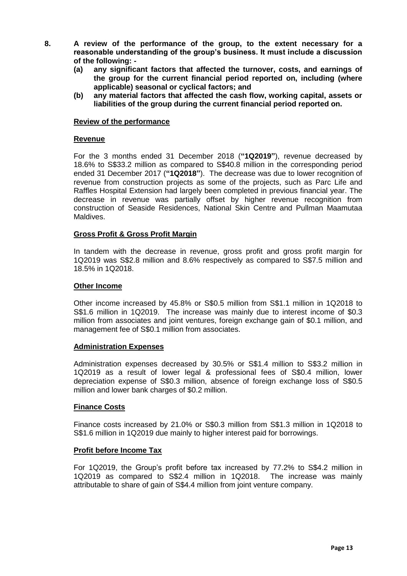- **8. A review of the performance of the group, to the extent necessary for a reasonable understanding of the group's business. It must include a discussion of the following: -**
	- **(a) any significant factors that affected the turnover, costs, and earnings of the group for the current financial period reported on, including (where applicable) seasonal or cyclical factors; and**
	- **(b) any material factors that affected the cash flow, working capital, assets or liabilities of the group during the current financial period reported on.**

#### **Review of the performance**

## **Revenue**

For the 3 months ended 31 December 2018 (**"1Q2019"**), revenue decreased by 18.6% to S\$33.2 million as compared to S\$40.8 million in the corresponding period ended 31 December 2017 (**"1Q2018"**). The decrease was due to lower recognition of revenue from construction projects as some of the projects, such as Parc Life and Raffles Hospital Extension had largely been completed in previous financial year. The decrease in revenue was partially offset by higher revenue recognition from construction of Seaside Residences, National Skin Centre and Pullman Maamutaa Maldives.

## **Gross Profit & Gross Profit Margin**

In tandem with the decrease in revenue, gross profit and gross profit margin for 1Q2019 was S\$2.8 million and 8.6% respectively as compared to S\$7.5 million and 18.5% in 1Q2018.

## **Other Income**

Other income increased by 45.8% or S\$0.5 million from S\$1.1 million in 1Q2018 to S\$1.6 million in 1Q2019. The increase was mainly due to interest income of \$0.3 million from associates and joint ventures, foreign exchange gain of \$0.1 million, and management fee of S\$0.1 million from associates.

# **Administration Expenses**

Administration expenses decreased by 30.5% or S\$1.4 million to S\$3.2 million in 1Q2019 as a result of lower legal & professional fees of S\$0.4 million, lower depreciation expense of S\$0.3 million, absence of foreign exchange loss of S\$0.5 million and lower bank charges of \$0.2 million.

#### **Finance Costs**

Finance costs increased by 21.0% or S\$0.3 million from S\$1.3 million in 1Q2018 to S\$1.6 million in 1Q2019 due mainly to higher interest paid for borrowings.

#### **Profit before Income Tax**

For 1Q2019, the Group's profit before tax increased by 77.2% to S\$4.2 million in 1Q2019 as compared to S\$2.4 million in 1Q2018. The increase was mainly attributable to share of gain of S\$4.4 million from joint venture company.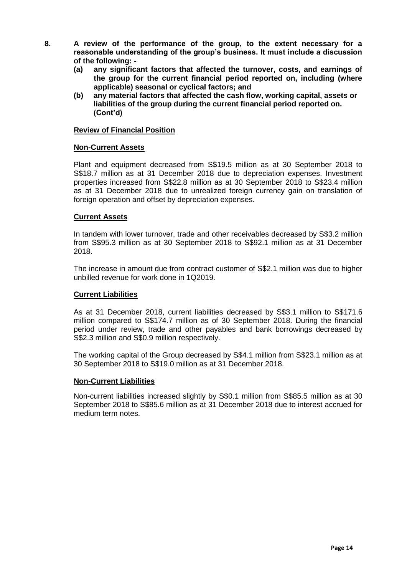- **8. A review of the performance of the group, to the extent necessary for a reasonable understanding of the group's business. It must include a discussion of the following: -**
	- **(a) any significant factors that affected the turnover, costs, and earnings of the group for the current financial period reported on, including (where applicable) seasonal or cyclical factors; and**
	- **(b) any material factors that affected the cash flow, working capital, assets or liabilities of the group during the current financial period reported on. (Cont'd)**

## **Review of Financial Position**

## **Non-Current Assets**

Plant and equipment decreased from S\$19.5 million as at 30 September 2018 to S\$18.7 million as at 31 December 2018 due to depreciation expenses. Investment properties increased from S\$22.8 million as at 30 September 2018 to S\$23.4 million as at 31 December 2018 due to unrealized foreign currency gain on translation of foreign operation and offset by depreciation expenses.

## **Current Assets**

In tandem with lower turnover, trade and other receivables decreased by S\$3.2 million from S\$95.3 million as at 30 September 2018 to S\$92.1 million as at 31 December 2018.

The increase in amount due from contract customer of S\$2.1 million was due to higher unbilled revenue for work done in 1Q2019.

#### **Current Liabilities**

As at 31 December 2018, current liabilities decreased by S\$3.1 million to S\$171.6 million compared to S\$174.7 million as of 30 September 2018. During the financial period under review, trade and other payables and bank borrowings decreased by S\$2.3 million and S\$0.9 million respectively.

The working capital of the Group decreased by S\$4.1 million from S\$23.1 million as at 30 September 2018 to S\$19.0 million as at 31 December 2018.

#### **Non-Current Liabilities**

Non-current liabilities increased slightly by S\$0.1 million from S\$85.5 million as at 30 September 2018 to S\$85.6 million as at 31 December 2018 due to interest accrued for medium term notes.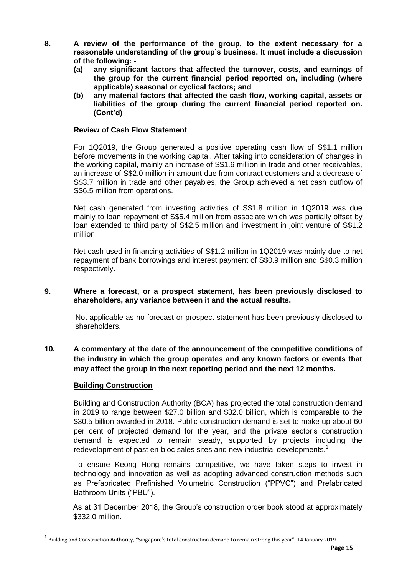- **8. A review of the performance of the group, to the extent necessary for a reasonable understanding of the group's business. It must include a discussion of the following: -**
	- **(a) any significant factors that affected the turnover, costs, and earnings of the group for the current financial period reported on, including (where applicable) seasonal or cyclical factors; and**
	- **(b) any material factors that affected the cash flow, working capital, assets or liabilities of the group during the current financial period reported on. (Cont'd)**

## **Review of Cash Flow Statement**

For 1Q2019, the Group generated a positive operating cash flow of S\$1.1 million before movements in the working capital. After taking into consideration of changes in the working capital, mainly an increase of S\$1.6 million in trade and other receivables, an increase of S\$2.0 million in amount due from contract customers and a decrease of S\$3.7 million in trade and other payables, the Group achieved a net cash outflow of S\$6.5 million from operations.

Net cash generated from investing activities of S\$1.8 million in 1Q2019 was due mainly to loan repayment of S\$5.4 million from associate which was partially offset by loan extended to third party of S\$2.5 million and investment in joint venture of S\$1.2 million.

Net cash used in financing activities of S\$1.2 million in 1Q2019 was mainly due to net repayment of bank borrowings and interest payment of S\$0.9 million and S\$0.3 million respectively.

**9. Where a forecast, or a prospect statement, has been previously disclosed to shareholders, any variance between it and the actual results.**

Not applicable as no forecast or prospect statement has been previously disclosed to shareholders.

**10. A commentary at the date of the announcement of the competitive conditions of the industry in which the group operates and any known factors or events that may affect the group in the next reporting period and the next 12 months.**

# **Building Construction**

 $\overline{a}$ 

Building and Construction Authority (BCA) has projected the total construction demand in 2019 to range between \$27.0 billion and \$32.0 billion, which is comparable to the \$30.5 billion awarded in 2018. Public construction demand is set to make up about 60 per cent of projected demand for the year, and the private sector's construction demand is expected to remain steady, supported by projects including the redevelopment of past en-bloc sales sites and new industrial developments.<sup>1</sup>

To ensure Keong Hong remains competitive, we have taken steps to invest in technology and innovation as well as adopting advanced construction methods such as Prefabricated Prefinished Volumetric Construction ("PPVC") and Prefabricated Bathroom Units ("PBU").

As at 31 December 2018, the Group's construction order book stood at approximately \$332.0 million.

<sup>1</sup> Building and Construction Authority, "Singapore's total construction demand to remain strong this year", 14 January 2019.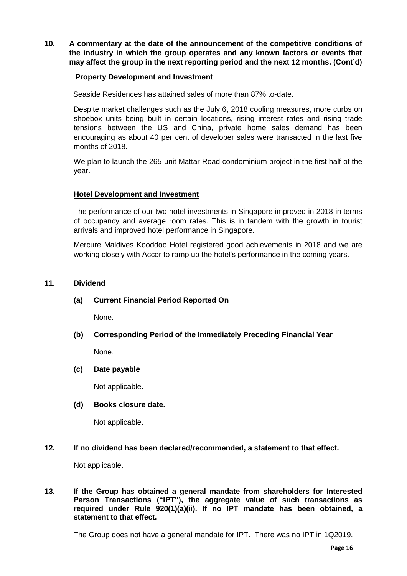**10. A commentary at the date of the announcement of the competitive conditions of the industry in which the group operates and any known factors or events that may affect the group in the next reporting period and the next 12 months. (Cont'd)**

# **Property Development and Investment**

Seaside Residences has attained sales of more than 87% to-date.

Despite market challenges such as the July 6, 2018 cooling measures, more curbs on shoebox units being built in certain locations, rising interest rates and rising trade tensions between the US and China, private home sales demand has been encouraging as about 40 per cent of developer sales were transacted in the last five months of 2018.

We plan to launch the 265-unit Mattar Road condominium project in the first half of the year.

# **Hotel Development and Investment**

The performance of our two hotel investments in Singapore improved in 2018 in terms of occupancy and average room rates. This is in tandem with the growth in tourist arrivals and improved hotel performance in Singapore.

Mercure Maldives Kooddoo Hotel registered good achievements in 2018 and we are working closely with Accor to ramp up the hotel's performance in the coming years.

## **11. Dividend**

# **(a) Current Financial Period Reported On**

None.

# **(b) Corresponding Period of the Immediately Preceding Financial Year**

None.

# **(c) Date payable**

Not applicable.

# **(d) Books closure date.**

Not applicable.

# **12. If no dividend has been declared/recommended, a statement to that effect.**

Not applicable.

## **13. If the Group has obtained a general mandate from shareholders for Interested Person Transactions ("IPT"), the aggregate value of such transactions as required under Rule 920(1)(a)(ii). If no IPT mandate has been obtained, a statement to that effect.**

The Group does not have a general mandate for IPT. There was no IPT in 1Q2019.